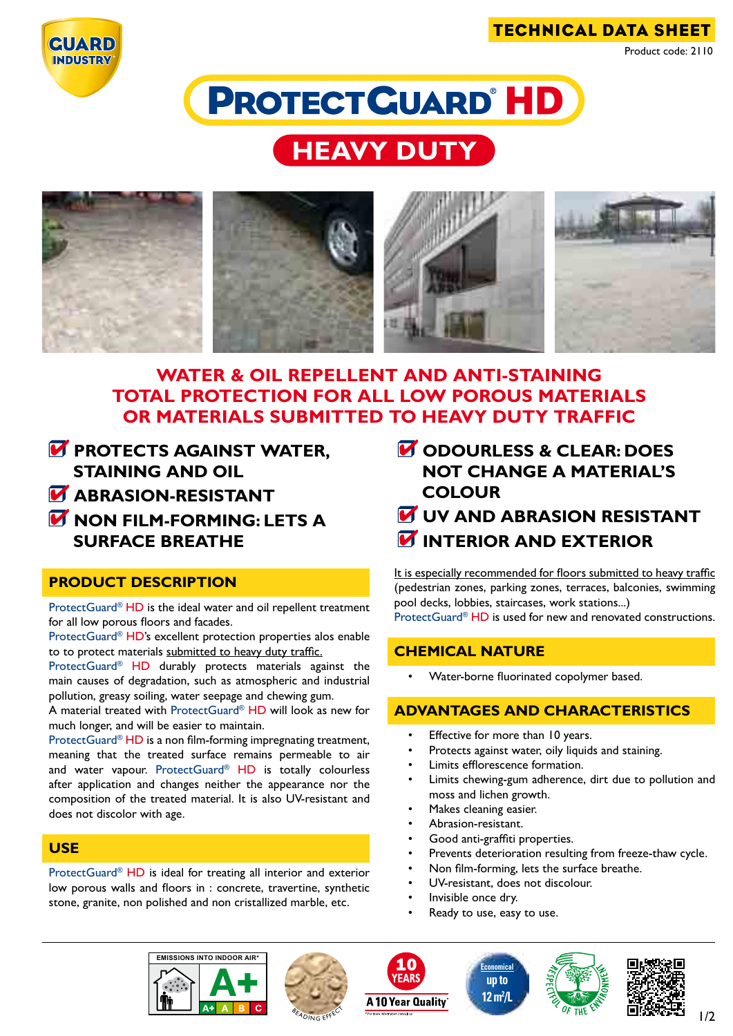





# **HEAVY DUTY**



# **WATER & OIL REPELLENT AND ANTI-STAINING total PROTECTION FOR ALL low POROUS materials or materials submitted TO HEAVY duty traffic**

- **PROTECTS AGAINST WATER, staining and OIL**
- **M** ABRASION-RESISTANT
- **non film-forming: LETS A SURFACE BREATHE**

#### **product description**

ProtectGuard<sup>®</sup> HD is the ideal water and oil repellent treatment for all low porous floors and facades.

ProtectGuard® HD's excellent protection properties alos enable to to protect materials submitted to heavy duty traffic.

ProtectGuard<sup>®</sup> HD durably protects materials against the main causes of degradation, such as atmospheric and industrial pollution, greasy soiling, water seepage and chewing gum.

A material treated with ProtectGuard® HD will look as new for much longer, and will be easier to maintain.

ProtectGuard® HD is a non film-forming impregnating treatment, meaning that the treated surface remains permeable to air and water vapour. ProtectGuard® HD is totally colourless after application and changes neither the appearance nor the composition of the treated material. It is also UV-resistant and does not discolor with age.

### **use**

ProtectGuard® HD is ideal for treating all interior and exterior low porous walls and floors in : concrete, travertine, synthetic stone, granite, non polished and non cristallized marble, etc.

- **M** ODOURLESS & CLEAR: DOES **not change a material's colour**
- **uV AND ABRASION RESISTANT INTERIOR AND EXTERIOR**

It is especially recommended for floors submitted to heavy traffic (pedestrian zones, parking zones, terraces, balconies, swimming pool decks, lobbies, staircases, work stations...) external ProtectGuard® HD is used for new and renovated constructions.

**chemical nature**

Water-borne fluorinated copolymer based.

## **advantages and characteristics**

- Effective for more than 10 years.
- Protects against water, oily liquids and staining.
- Limits efflorescence formation.
- Limits chewing-gum adherence, dirt due to pollution and moss and lichen growth.
- Makes cleaning easier.
- Abrasion-resistant.
- Good anti-graffiti properties.
- Prevents deterioration resulting from freeze-thaw cycle.
- Non film-forming, lets the surface breathe.
- UV-resistant, does not discolour.
- Invisible once dry.
- Ready to use, easy to use.